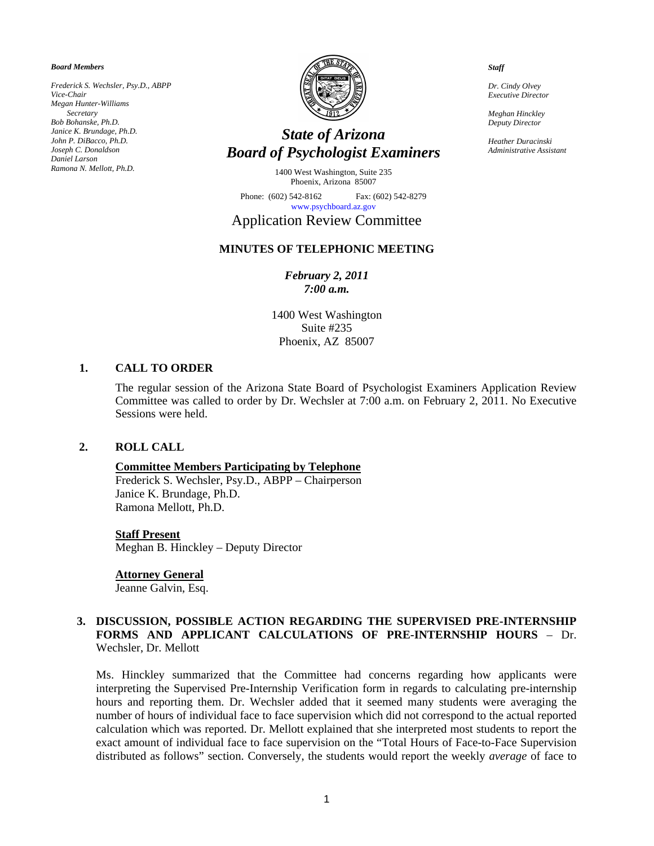*Board Members* 

*Frederick S. Wechsler, Psy.D., ABPP Vice-Chair Megan Hunter-Williams Secretary Bob Bohanske, Ph.D. Janice K. Brundage, Ph.D. John P. DiBacco, Ph.D. Joseph C. Donaldson Daniel Larson Ramona N. Mellott, Ph.D.* 



# *State of Arizona Board of Psychologist Examiners*

1400 West Washington, Suite 235 Phoenix, Arizona 85007

Phone: (602) 542-8162 Fax: (602) 542-8279 [www.psychboard.az.gov](http://www.psychboard.az.gov/) 

# Application Review Committee

# **MINUTES OF TELEPHONIC MEETING**

### *February 2, 2011 7:00 a.m.*

1400 West Washington Suite #235 Phoenix, AZ 85007

#### **1. CALL TO ORDER**

The regular session of the Arizona State Board of Psychologist Examiners Application Review Committee was called to order by Dr. Wechsler at 7:00 a.m. on February 2, 2011. No Executive Sessions were held.

### **2. ROLL CALL**

#### **Committee Members Participating by Telephone**

Frederick S. Wechsler, Psy.D., ABPP – Chairperson Janice K. Brundage, Ph.D. Ramona Mellott, Ph.D.

#### **Staff Present**

Meghan B. Hinckley – Deputy Director

#### **Attorney General**

Jeanne Galvin, Esq.

#### **3. DISCUSSION, POSSIBLE ACTION REGARDING THE SUPERVISED PRE-INTERNSHIP FORMS AND APPLICANT CALCULATIONS OF PRE-INTERNSHIP HOURS** – Dr. Wechsler, Dr. Mellott

Ms. Hinckley summarized that the Committee had concerns regarding how applicants were interpreting the Supervised Pre-Internship Verification form in regards to calculating pre-internship hours and reporting them. Dr. Wechsler added that it seemed many students were averaging the number of hours of individual face to face supervision which did not correspond to the actual reported calculation which was reported. Dr. Mellott explained that she interpreted most students to report the exact amount of individual face to face supervision on the "Total Hours of Face-to-Face Supervision distributed as follows" section. Conversely, the students would report the weekly *average* of face to

*Staff* 

*Dr. Cindy Olvey Executive Director* 

*Meghan Hinckley Deputy Director* 

*Heather Duracinski Administrative Assistant*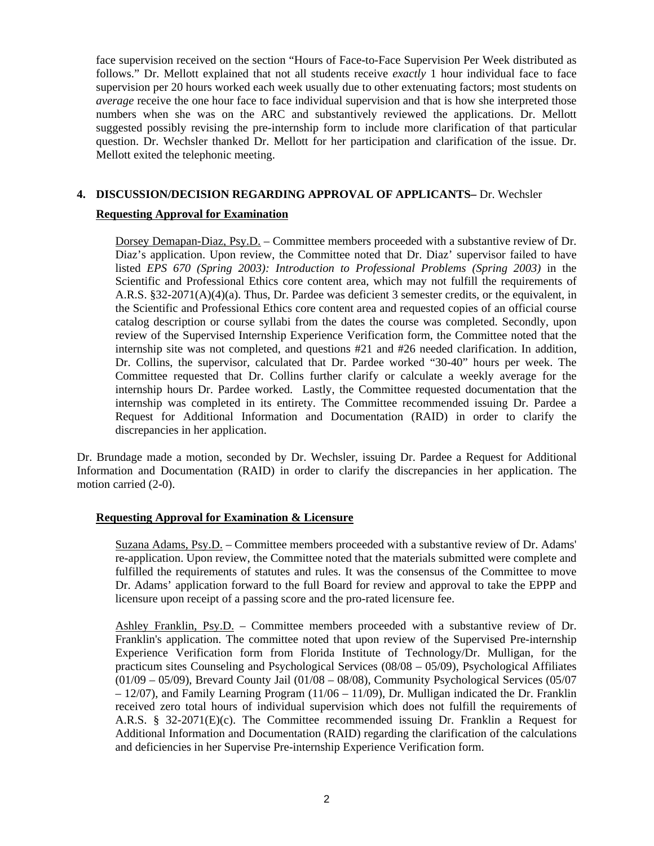face supervision received on the section "Hours of Face-to-Face Supervision Per Week distributed as follows." Dr. Mellott explained that not all students receive *exactly* 1 hour individual face to face supervision per 20 hours worked each week usually due to other extenuating factors; most students on *average* receive the one hour face to face individual supervision and that is how she interpreted those numbers when she was on the ARC and substantively reviewed the applications. Dr. Mellott suggested possibly revising the pre-internship form to include more clarification of that particular question. Dr. Wechsler thanked Dr. Mellott for her participation and clarification of the issue. Dr. Mellott exited the telephonic meeting.

# **4. DISCUSSION/DECISION REGARDING APPROVAL OF APPLICANTS–** Dr. Wechsler

# **Requesting Approval for Examination**

Dorsey Demapan-Diaz, Psy.D. – Committee members proceeded with a substantive review of Dr. Diaz's application. Upon review, the Committee noted that Dr. Diaz' supervisor failed to have listed *EPS 670 (Spring 2003): Introduction to Professional Problems (Spring 2003)* in the Scientific and Professional Ethics core content area, which may not fulfill the requirements of A.R.S. §32-2071(A)(4)(a). Thus, Dr. Pardee was deficient 3 semester credits, or the equivalent, in the Scientific and Professional Ethics core content area and requested copies of an official course catalog description or course syllabi from the dates the course was completed. Secondly, upon review of the Supervised Internship Experience Verification form, the Committee noted that the internship site was not completed, and questions #21 and #26 needed clarification. In addition, Dr. Collins, the supervisor, calculated that Dr. Pardee worked "30-40" hours per week. The Committee requested that Dr. Collins further clarify or calculate a weekly average for the internship hours Dr. Pardee worked. Lastly, the Committee requested documentation that the internship was completed in its entirety. The Committee recommended issuing Dr. Pardee a Request for Additional Information and Documentation (RAID) in order to clarify the discrepancies in her application.

Dr. Brundage made a motion, seconded by Dr. Wechsler, issuing Dr. Pardee a Request for Additional Information and Documentation (RAID) in order to clarify the discrepancies in her application. The motion carried (2-0).

# **Requesting Approval for Examination & Licensure**

Suzana Adams, Psy.D. – Committee members proceeded with a substantive review of Dr. Adams' re-application. Upon review, the Committee noted that the materials submitted were complete and fulfilled the requirements of statutes and rules. It was the consensus of the Committee to move Dr. Adams' application forward to the full Board for review and approval to take the EPPP and licensure upon receipt of a passing score and the pro-rated licensure fee.

Ashley Franklin, Psy.D. – Committee members proceeded with a substantive review of Dr. Franklin's application. The committee noted that upon review of the Supervised Pre-internship Experience Verification form from Florida Institute of Technology/Dr. Mulligan, for the practicum sites Counseling and Psychological Services (08/08 – 05/09), Psychological Affiliates  $(01/09 - 05/09)$ , Brevard County Jail  $(01/08 - 08/08)$ , Community Psychological Services (05/07 – 12/07), and Family Learning Program (11/06 – 11/09), Dr. Mulligan indicated the Dr. Franklin received zero total hours of individual supervision which does not fulfill the requirements of A.R.S. § 32-2071(E)(c). The Committee recommended issuing Dr. Franklin a Request for Additional Information and Documentation (RAID) regarding the clarification of the calculations and deficiencies in her Supervise Pre-internship Experience Verification form.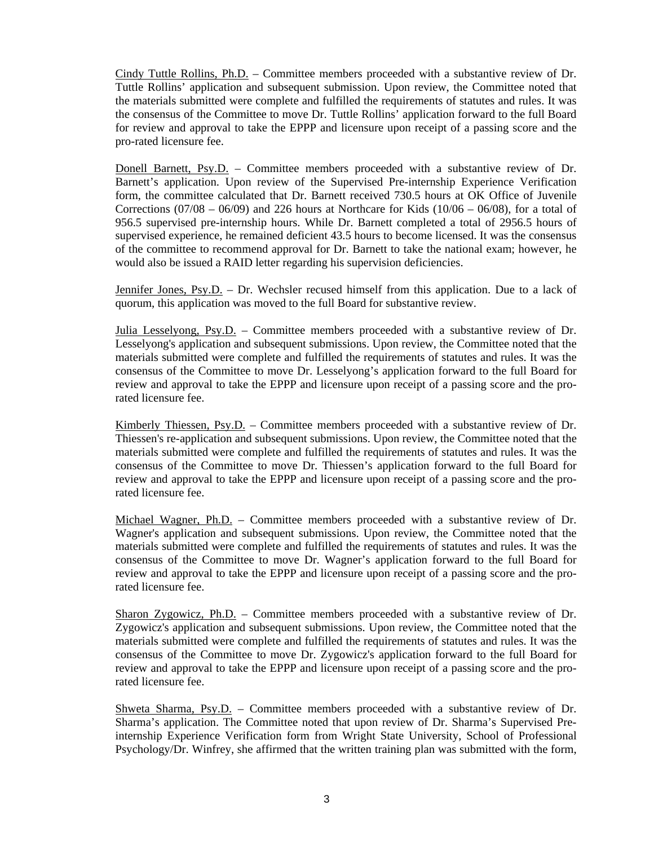Cindy Tuttle Rollins, Ph.D. – Committee members proceeded with a substantive review of Dr. Tuttle Rollins' application and subsequent submission. Upon review, the Committee noted that the materials submitted were complete and fulfilled the requirements of statutes and rules. It was the consensus of the Committee to move Dr. Tuttle Rollins' application forward to the full Board for review and approval to take the EPPP and licensure upon receipt of a passing score and the pro-rated licensure fee.

Donell Barnett, Psy.D. – Committee members proceeded with a substantive review of Dr. Barnett's application. Upon review of the Supervised Pre-internship Experience Verification form, the committee calculated that Dr. Barnett received 730.5 hours at OK Office of Juvenile Corrections (07/08 – 06/09) and 226 hours at Northcare for Kids (10/06 – 06/08), for a total of 956.5 supervised pre-internship hours. While Dr. Barnett completed a total of 2956.5 hours of supervised experience, he remained deficient 43.5 hours to become licensed. It was the consensus of the committee to recommend approval for Dr. Barnett to take the national exam; however, he would also be issued a RAID letter regarding his supervision deficiencies.

Jennifer Jones, Psy.D. – Dr. Wechsler recused himself from this application. Due to a lack of quorum, this application was moved to the full Board for substantive review.

Julia Lesselyong, Psy.D. – Committee members proceeded with a substantive review of Dr. Lesselyong's application and subsequent submissions. Upon review, the Committee noted that the materials submitted were complete and fulfilled the requirements of statutes and rules. It was the consensus of the Committee to move Dr. Lesselyong's application forward to the full Board for review and approval to take the EPPP and licensure upon receipt of a passing score and the prorated licensure fee.

Kimberly Thiessen, Psy.D. – Committee members proceeded with a substantive review of Dr. Thiessen's re-application and subsequent submissions. Upon review, the Committee noted that the materials submitted were complete and fulfilled the requirements of statutes and rules. It was the consensus of the Committee to move Dr. Thiessen's application forward to the full Board for review and approval to take the EPPP and licensure upon receipt of a passing score and the prorated licensure fee.

Michael Wagner, Ph.D. – Committee members proceeded with a substantive review of Dr. Wagner's application and subsequent submissions. Upon review, the Committee noted that the materials submitted were complete and fulfilled the requirements of statutes and rules. It was the consensus of the Committee to move Dr. Wagner's application forward to the full Board for review and approval to take the EPPP and licensure upon receipt of a passing score and the prorated licensure fee.

Sharon Zygowicz, Ph.D. – Committee members proceeded with a substantive review of Dr. Zygowicz's application and subsequent submissions. Upon review, the Committee noted that the materials submitted were complete and fulfilled the requirements of statutes and rules. It was the consensus of the Committee to move Dr. Zygowicz's application forward to the full Board for review and approval to take the EPPP and licensure upon receipt of a passing score and the prorated licensure fee.

Shweta Sharma, Psy.D. – Committee members proceeded with a substantive review of Dr. Sharma's application. The Committee noted that upon review of Dr. Sharma's Supervised Preinternship Experience Verification form from Wright State University, School of Professional Psychology/Dr. Winfrey, she affirmed that the written training plan was submitted with the form,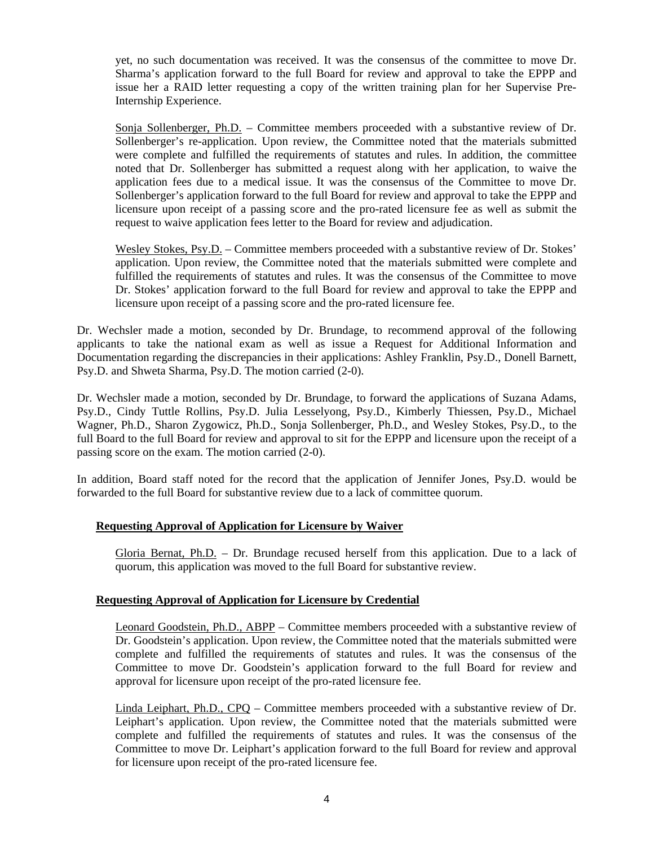yet, no such documentation was received. It was the consensus of the committee to move Dr. Sharma's application forward to the full Board for review and approval to take the EPPP and issue her a RAID letter requesting a copy of the written training plan for her Supervise Pre-Internship Experience.

Sonja Sollenberger, Ph.D. – Committee members proceeded with a substantive review of Dr. Sollenberger's re-application. Upon review, the Committee noted that the materials submitted were complete and fulfilled the requirements of statutes and rules. In addition, the committee noted that Dr. Sollenberger has submitted a request along with her application, to waive the application fees due to a medical issue. It was the consensus of the Committee to move Dr. Sollenberger's application forward to the full Board for review and approval to take the EPPP and licensure upon receipt of a passing score and the pro-rated licensure fee as well as submit the request to waive application fees letter to the Board for review and adjudication.

Wesley Stokes, Psy.D. – Committee members proceeded with a substantive review of Dr. Stokes' application. Upon review, the Committee noted that the materials submitted were complete and fulfilled the requirements of statutes and rules. It was the consensus of the Committee to move Dr. Stokes' application forward to the full Board for review and approval to take the EPPP and licensure upon receipt of a passing score and the pro-rated licensure fee.

Dr. Wechsler made a motion, seconded by Dr. Brundage, to recommend approval of the following applicants to take the national exam as well as issue a Request for Additional Information and Documentation regarding the discrepancies in their applications: Ashley Franklin, Psy.D., Donell Barnett, Psy.D. and Shweta Sharma, Psy.D. The motion carried (2-0).

Dr. Wechsler made a motion, seconded by Dr. Brundage, to forward the applications of Suzana Adams, Psy.D., Cindy Tuttle Rollins, Psy.D. Julia Lesselyong, Psy.D., Kimberly Thiessen, Psy.D., Michael Wagner, Ph.D., Sharon Zygowicz, Ph.D., Sonja Sollenberger, Ph.D., and Wesley Stokes, Psy.D., to the full Board to the full Board for review and approval to sit for the EPPP and licensure upon the receipt of a passing score on the exam. The motion carried (2-0).

In addition, Board staff noted for the record that the application of Jennifer Jones, Psy.D. would be forwarded to the full Board for substantive review due to a lack of committee quorum.

# **Requesting Approval of Application for Licensure by Waiver**

Gloria Bernat, Ph.D. – Dr. Brundage recused herself from this application. Due to a lack of quorum, this application was moved to the full Board for substantive review.

# **Requesting Approval of Application for Licensure by Credential**

Leonard Goodstein, Ph.D., ABPP – Committee members proceeded with a substantive review of Dr. Goodstein's application. Upon review, the Committee noted that the materials submitted were complete and fulfilled the requirements of statutes and rules. It was the consensus of the Committee to move Dr. Goodstein's application forward to the full Board for review and approval for licensure upon receipt of the pro-rated licensure fee.

Linda Leiphart, Ph.D., CPQ – Committee members proceeded with a substantive review of Dr. Leiphart's application. Upon review, the Committee noted that the materials submitted were complete and fulfilled the requirements of statutes and rules. It was the consensus of the Committee to move Dr. Leiphart's application forward to the full Board for review and approval for licensure upon receipt of the pro-rated licensure fee.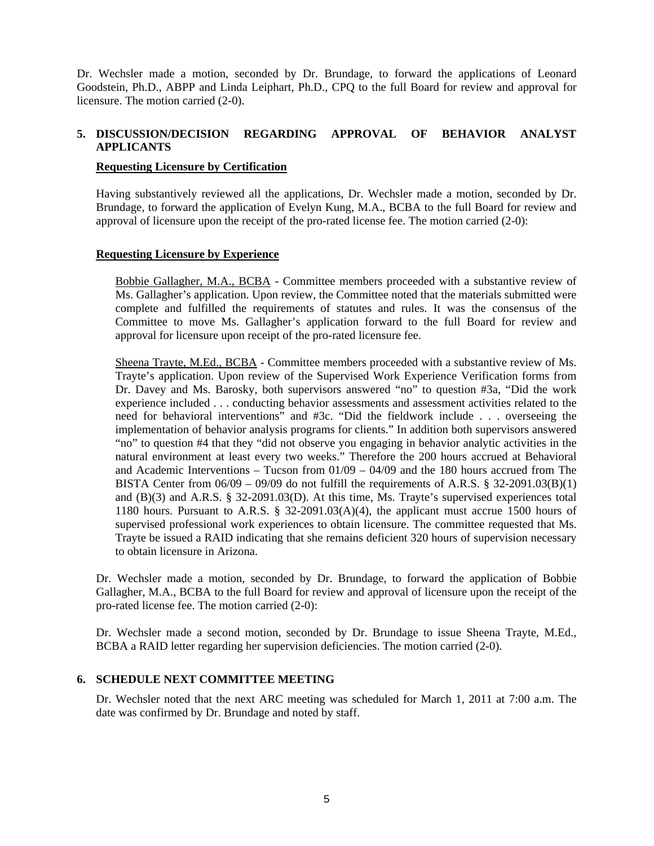Dr. Wechsler made a motion, seconded by Dr. Brundage, to forward the applications of Leonard Goodstein, Ph.D., ABPP and Linda Leiphart, Ph.D., CPQ to the full Board for review and approval for licensure. The motion carried (2-0).

# **5. DISCUSSION/DECISION REGARDING APPROVAL OF BEHAVIOR ANALYST APPLICANTS**

### **Requesting Licensure by Certification**

Having substantively reviewed all the applications, Dr. Wechsler made a motion, seconded by Dr. Brundage, to forward the application of Evelyn Kung, M.A., BCBA to the full Board for review and approval of licensure upon the receipt of the pro-rated license fee. The motion carried (2-0):

#### **Requesting Licensure by Experience**

Bobbie Gallagher, M.A., BCBA - Committee members proceeded with a substantive review of Ms. Gallagher's application. Upon review, the Committee noted that the materials submitted were complete and fulfilled the requirements of statutes and rules. It was the consensus of the Committee to move Ms. Gallagher's application forward to the full Board for review and approval for licensure upon receipt of the pro-rated licensure fee.

Sheena Trayte, M.Ed., BCBA - Committee members proceeded with a substantive review of Ms. Trayte's application. Upon review of the Supervised Work Experience Verification forms from Dr. Davey and Ms. Barosky, both supervisors answered "no" to question #3a, "Did the work experience included . . . conducting behavior assessments and assessment activities related to the need for behavioral interventions" and #3c. "Did the fieldwork include . . . overseeing the implementation of behavior analysis programs for clients." In addition both supervisors answered "no" to question #4 that they "did not observe you engaging in behavior analytic activities in the natural environment at least every two weeks." Therefore the 200 hours accrued at Behavioral and Academic Interventions – Tucson from 01/09 – 04/09 and the 180 hours accrued from The BISTA Center from  $06/09 - 09/09$  do not fulfill the requirements of A.R.S. § 32-2091.03(B)(1) and (B)(3) and A.R.S. § 32-2091.03(D). At this time, Ms. Trayte's supervised experiences total 1180 hours. Pursuant to A.R.S. § 32-2091.03(A)(4), the applicant must accrue 1500 hours of supervised professional work experiences to obtain licensure. The committee requested that Ms. Trayte be issued a RAID indicating that she remains deficient 320 hours of supervision necessary to obtain licensure in Arizona.

Dr. Wechsler made a motion, seconded by Dr. Brundage, to forward the application of Bobbie Gallagher, M.A., BCBA to the full Board for review and approval of licensure upon the receipt of the pro-rated license fee. The motion carried (2-0):

Dr. Wechsler made a second motion, seconded by Dr. Brundage to issue Sheena Trayte, M.Ed., BCBA a RAID letter regarding her supervision deficiencies. The motion carried (2-0).

# **6. SCHEDULE NEXT COMMITTEE MEETING**

Dr. Wechsler noted that the next ARC meeting was scheduled for March 1, 2011 at 7:00 a.m. The date was confirmed by Dr. Brundage and noted by staff.